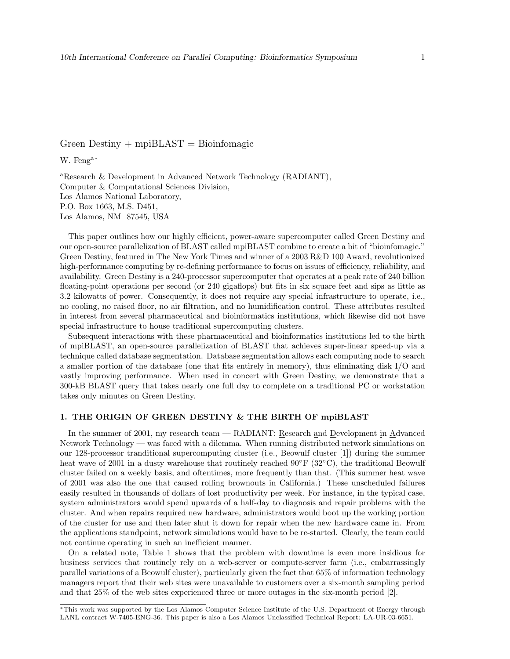# Green Destiny  $+$  mpiBLAST  $=$  Bioinfomagic

W. Feng<sup>a</sup><sup>∗</sup>

<sup>a</sup>Research & Development in Advanced Network Technology (RADIANT), Computer & Computational Sciences Division, Los Alamos National Laboratory, P.O. Box 1663, M.S. D451, Los Alamos, NM 87545, USA

This paper outlines how our highly efficient, power-aware supercomputer called Green Destiny and our open-source parallelization of BLAST called mpiBLAST combine to create a bit of "bioinfomagic." Green Destiny, featured in The New York Times and winner of a 2003 R&D 100 Award, revolutionized high-performance computing by re-defining performance to focus on issues of efficiency, reliability, and availability. Green Destiny is a 240-processor supercomputer that operates at a peak rate of 240 billion floating-point operations per second (or 240 gigaflops) but fits in six square feet and sips as little as 3.2 kilowatts of power. Consequently, it does not require any special infrastructure to operate, i.e., no cooling, no raised floor, no air filtration, and no humidification control. These attributes resulted in interest from several pharmaceutical and bioinformatics institutions, which likewise did not have special infrastructure to house traditional supercomputing clusters.

Subsequent interactions with these pharmaceutical and bioinformatics institutions led to the birth of mpiBLAST, an open-source parallelization of BLAST that achieves super-linear speed-up via a technique called database segmentation. Database segmentation allows each computing node to search a smaller portion of the database (one that fits entirely in memory), thus eliminating disk I/O and vastly improving performance. When used in concert with Green Destiny, we demonstrate that a 300-kB BLAST query that takes nearly one full day to complete on a traditional PC or workstation takes only minutes on Green Destiny.

#### 1. THE ORIGIN OF GREEN DESTINY & THE BIRTH OF mpiBLAST

In the summer of 2001, my research team — RADIANT: Research and Development in Advanced Network Technology — was faced with a dilemma. When running distributed network simulations on our 128-processor tranditional supercomputing cluster (i.e., Beowulf cluster [1]) during the summer heat wave of 2001 in a dusty warehouse that routinely reached 90◦F (32◦C), the traditional Beowulf cluster failed on a weekly basis, and oftentimes, more frequently than that. (This summer heat wave of 2001 was also the one that caused rolling brownouts in California.) These unscheduled failures easily resulted in thousands of dollars of lost productivity per week. For instance, in the typical case, system administrators would spend upwards of a half-day to diagnosis and repair problems with the cluster. And when repairs required new hardware, administrators would boot up the working portion of the cluster for use and then later shut it down for repair when the new hardware came in. From the applications standpoint, network simulations would have to be re-started. Clearly, the team could not continue operating in such an inefficient manner.

On a related note, Table 1 shows that the problem with downtime is even more insidious for business services that routinely rely on a web-server or compute-server farm (i.e., embarrassingly parallel variations of a Beowulf cluster), particularly given the fact that 65% of information technology managers report that their web sites were unavailable to customers over a six-month sampling period and that 25% of the web sites experienced three or more outages in the six-month period [2].

<sup>∗</sup>This work was supported by the Los Alamos Computer Science Institute of the U.S. Department of Energy through LANL contract W-7405-ENG-36. This paper is also a Los Alamos Unclassified Technical Report: LA-UR-03-6651.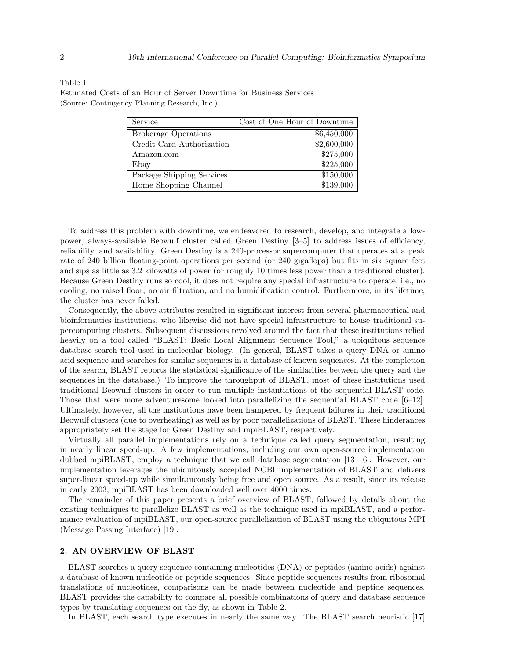Estimated Costs of an Hour of Server Downtime for Business Services (Source: Contingency Planning Research, Inc.)

| Service                     | Cost of One Hour of Downtime |
|-----------------------------|------------------------------|
| <b>Brokerage Operations</b> | \$6,450,000                  |
| Credit Card Authorization   | \$2,600,000                  |
| Amazon.com                  | \$275,000                    |
| Ebay                        | \$225,000                    |
| Package Shipping Services   | \$150,000                    |
| Home Shopping Channel       | \$139,000                    |

To address this problem with downtime, we endeavored to research, develop, and integrate a lowpower, always-available Beowulf cluster called Green Destiny [3–5] to address issues of efficiency, reliability, and availability. Green Destiny is a 240-processor supercomputer that operates at a peak rate of 240 billion floating-point operations per second (or 240 gigaflops) but fits in six square feet and sips as little as 3.2 kilowatts of power (or roughly 10 times less power than a traditional cluster). Because Green Destiny runs so cool, it does not require any special infrastructure to operate, i.e., no cooling, no raised floor, no air filtration, and no humidification control. Furthermore, in its lifetime, the cluster has never failed.

Consequently, the above attributes resulted in significant interest from several pharmaceutical and bioinformatics institutions, who likewise did not have special infrastructure to house traditional supercomputing clusters. Subsequent discussions revolved around the fact that these institutions relied heavily on a tool called "BLAST: Basic Local Alignment Sequence Tool," a ubiquitous sequence database-search tool used in molecular biology. (In general, BLAST takes a query DNA or amino acid sequence and searches for similar sequences in a database of known sequences. At the completion of the search, BLAST reports the statistical significance of the similarities between the query and the sequences in the database.) To improve the throughput of BLAST, most of these institutions used traditional Beowulf clusters in order to run multiple instantiations of the sequential BLAST code. Those that were more adventuresome looked into parallelizing the sequential BLAST code [6–12]. Ultimately, however, all the institutions have been hampered by frequent failures in their traditional Beowulf clusters (due to overheating) as well as by poor parallelizations of BLAST. These hinderances appropriately set the stage for Green Destiny and mpiBLAST, respectively.

Virtually all parallel implementations rely on a technique called query segmentation, resulting in nearly linear speed-up. A few implementations, including our own open-source implementation dubbed mpiBLAST, employ a technique that we call database segmentation [13–16]. However, our implementation leverages the ubiquitously accepted NCBI implementation of BLAST and delivers super-linear speed-up while simultaneously being free and open source. As a result, since its release in early 2003, mpiBLAST has been downloaded well over 4000 times.

The remainder of this paper presents a brief overview of BLAST, followed by details about the existing techniques to parallelize BLAST as well as the technique used in mpiBLAST, and a performance evaluation of mpiBLAST, our open-source parallelization of BLAST using the ubiquitous MPI (Message Passing Interface) [19].

#### 2. AN OVERVIEW OF BLAST

BLAST searches a query sequence containing nucleotides (DNA) or peptides (amino acids) against a database of known nucleotide or peptide sequences. Since peptide sequences results from ribosomal translations of nucleotides, comparisons can be made between nucleotide and peptide sequences. BLAST provides the capability to compare all possible combinations of query and database sequence types by translating sequences on the fly, as shown in Table 2.

In BLAST, each search type executes in nearly the same way. The BLAST search heuristic [17]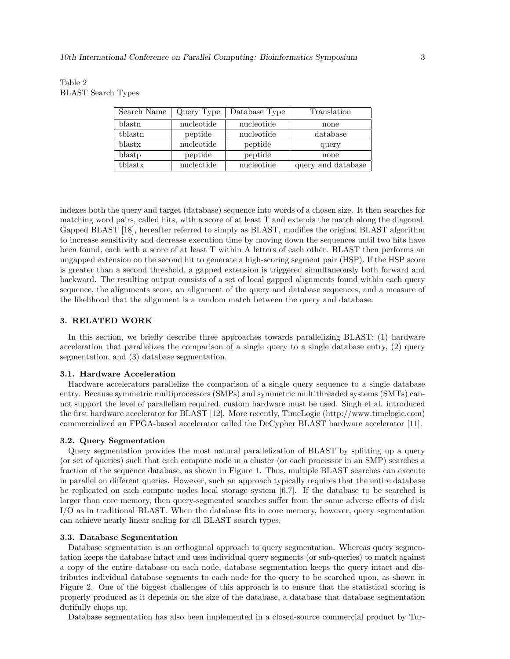| Table 2                   |  |
|---------------------------|--|
| <b>BLAST</b> Search Types |  |

| Search Name | Query Type | Database Type | Translation        |
|-------------|------------|---------------|--------------------|
| blastn      | nucleotide | nucleotide    | none               |
| tblastn     | peptide    | nucleotide    | database           |
| blastx      | nucleotide | peptide       | query              |
| blastp      | peptide    | peptide       | none               |
| tblastx     | nucleotide | nucleotide    | query and database |

indexes both the query and target (database) sequence into words of a chosen size. It then searches for matching word pairs, called hits, with a score of at least T and extends the match along the diagonal. Gapped BLAST [18], hereafter referred to simply as BLAST, modifies the original BLAST algorithm to increase sensitivity and decrease execution time by moving down the sequences until two hits have been found, each with a score of at least T within A letters of each other. BLAST then performs an ungapped extension on the second hit to generate a high-scoring segment pair (HSP). If the HSP score is greater than a second threshold, a gapped extension is triggered simultaneously both forward and backward. The resulting output consists of a set of local gapped alignments found within each query sequence, the alignments score, an alignment of the query and database sequences, and a measure of the likelihood that the alignment is a random match between the query and database.

### 3. RELATED WORK

In this section, we briefly describe three approaches towards parallelizing BLAST: (1) hardware acceleration that parallelizes the comparison of a single query to a single database entry, (2) query segmentation, and (3) database segmentation.

#### 3.1. Hardware Acceleration

Hardware accelerators parallelize the comparison of a single query sequence to a single database entry. Because symmetric multiprocessors (SMPs) and symmetric multithreaded systems (SMTs) cannot support the level of parallelism required, custom hardware must be used. Singh et al. introduced the first hardware accelerator for BLAST [12]. More recently, TimeLogic (http://www.timelogic.com) commercialized an FPGA-based accelerator called the DeCypher BLAST hardware accelerator [11].

#### 3.2. Query Segmentation

Query segmentation provides the most natural parallelization of BLAST by splitting up a query (or set of queries) such that each compute node in a cluster (or each processor in an SMP) searches a fraction of the sequence database, as shown in Figure 1. Thus, multiple BLAST searches can execute in parallel on different queries. However, such an approach typically requires that the entire database be replicated on each compute nodes local storage system [6,7]. If the database to be searched is larger than core memory, then query-segmented searches suffer from the same adverse effects of disk I/O as in traditional BLAST. When the database fits in core memory, however, query segmentation can achieve nearly linear scaling for all BLAST search types.

#### 3.3. Database Segmentation

Database segmentation is an orthogonal approach to query segmentation. Whereas query segmentation keeps the database intact and uses individual query segments (or sub-queries) to match against a copy of the entire database on each node, database segmentation keeps the query intact and distributes individual database segments to each node for the query to be searched upon, as shown in Figure 2. One of the biggest challenges of this approach is to ensure that the statistical scoring is properly produced as it depends on the size of the database, a database that database segmentation dutifully chops up.

Database segmentation has also been implemented in a closed-source commercial product by Tur-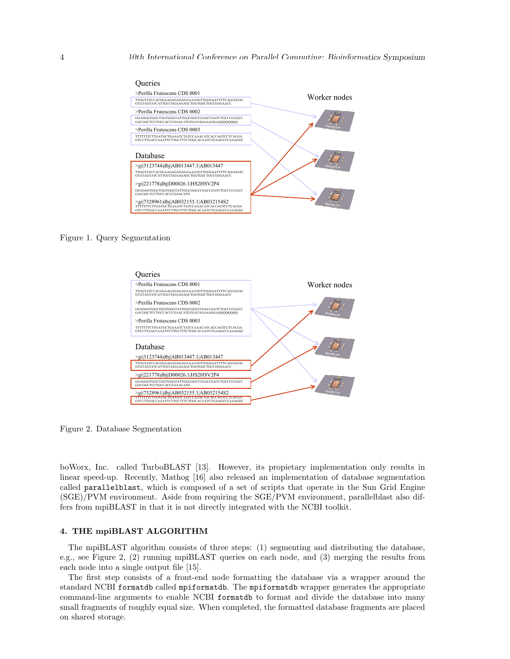

Figure 1. Query Segmentation



Figure 2. Database Segmentation

boWorx, Inc. called TurboBLAST [13]. However, its propietary implementation only results in linear speed-up. Recently, Mathog [16] also released an implementation of database segmentation called parallelblast, which is composed of a set of scripts that operate in the Sun Grid Engine (SGE)/PVM environment. Aside from requiring the SGE/PVM environment, parallelblast also differs from mpiBLAST in that it is not directly integrated with the NCBI toolkit.

#### 4. THE mpiBLAST ALGORITHM

The mpiBLAST algorithm consists of three steps: (1) segmenting and distributing the database, e.g., see Figure 2, (2) running mpiBLAST queries on each node, and (3) merging the results from each node into a single output file [15].

The first step consists of a front-end node formatting the database via a wrapper around the standard NCBI formatdb called mpiformatdb. The mpiformatdb wrapper generates the appropriate command-line arguments to enable NCBI formatdb to format and divide the database into many small fragments of roughly equal size. When completed, the formatted database fragments are placed on shared storage.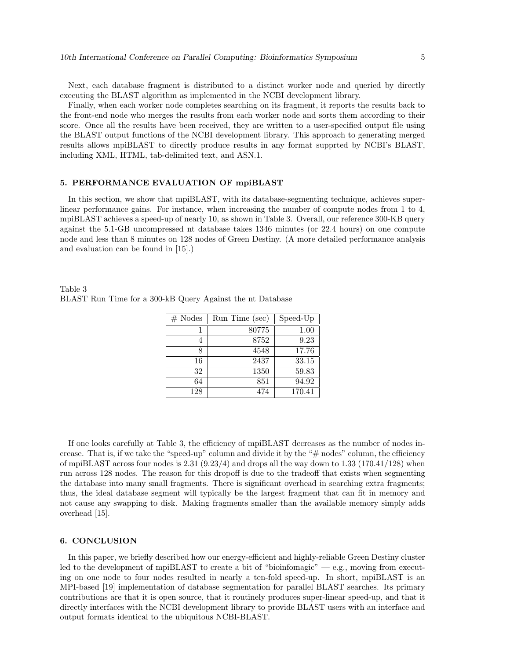Next, each database fragment is distributed to a distinct worker node and queried by directly executing the BLAST algorithm as implemented in the NCBI development library.

Finally, when each worker node completes searching on its fragment, it reports the results back to the front-end node who merges the results from each worker node and sorts them according to their score. Once all the results have been received, they are written to a user-specified output file using the BLAST output functions of the NCBI development library. This approach to generating merged results allows mpiBLAST to directly produce results in any format supprted by NCBI's BLAST, including XML, HTML, tab-delimited text, and ASN.1.

#### 5. PERFORMANCE EVALUATION OF mpiBLAST

In this section, we show that mpiBLAST, with its database-segmenting technique, achieves superlinear performance gains. For instance, when increasing the number of compute nodes from 1 to 4, mpiBLAST achieves a speed-up of nearly 10, as shown in Table 3. Overall, our reference 300-KB query against the 5.1-GB uncompressed nt database takes 1346 minutes (or 22.4 hours) on one compute node and less than 8 minutes on 128 nodes of Green Destiny. (A more detailed performance analysis and evaluation can be found in [15].)

| $#$ Nodes | Run Time (sec) | Speed-Up |
|-----------|----------------|----------|
|           | 80775          | 1.00     |
|           | 8752           | 9.23     |
|           | 4548           | 17.76    |
| 16        | 2437           | 33.15    |
| 32        | 1350           | 59.83    |
| 64        | 851            | 94.92    |
| 128       | 474            | 170.41   |

Table 3 BLAST Run Time for a 300-kB Query Against the nt Database

If one looks carefully at Table 3, the efficiency of mpiBLAST decreases as the number of nodes increase. That is, if we take the "speed-up" column and divide it by the "# nodes" column, the efficiency of mpiBLAST across four nodes is  $2.31$  (9.23/4) and drops all the way down to 1.33 (170.41/128) when run across 128 nodes. The reason for this dropoff is due to the tradeoff that exists when segmenting the database into many small fragments. There is significant overhead in searching extra fragments; thus, the ideal database segment will typically be the largest fragment that can fit in memory and not cause any swapping to disk. Making fragments smaller than the available memory simply adds overhead [15].

## 6. CONCLUSION

In this paper, we briefly described how our energy-efficient and highly-reliable Green Destiny cluster led to the development of mpiBLAST to create a bit of "bioinfomagic" — e.g., moving from executing on one node to four nodes resulted in nearly a ten-fold speed-up. In short, mpiBLAST is an MPI-based [19] implementation of database segmentation for parallel BLAST searches. Its primary contributions are that it is open source, that it routinely produces super-linear speed-up, and that it directly interfaces with the NCBI development library to provide BLAST users with an interface and output formats identical to the ubiquitous NCBI-BLAST.